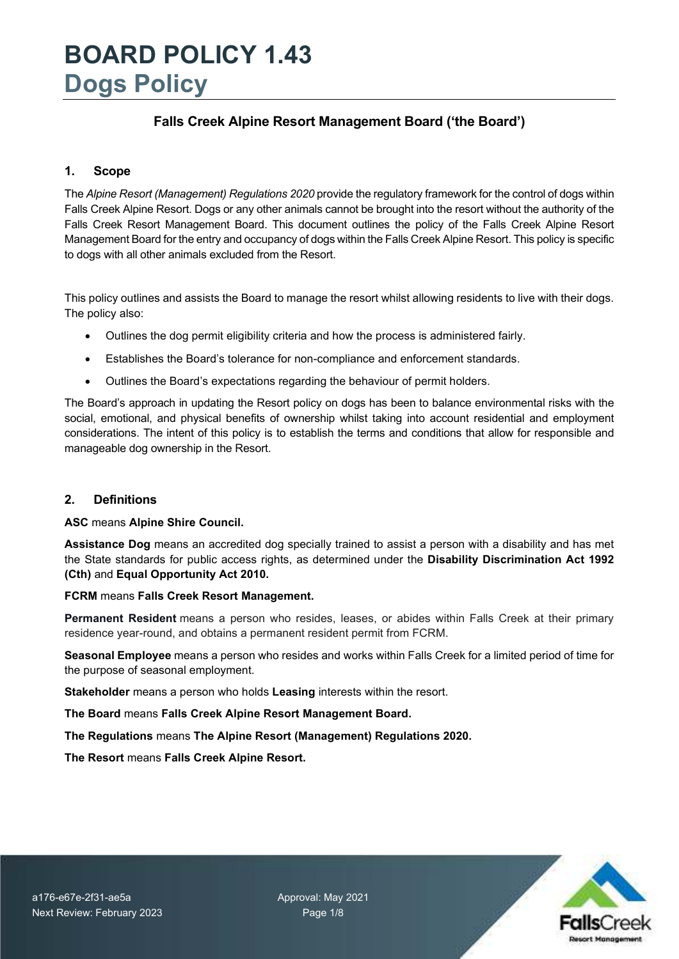### **Falls Creek Alpine Resort Management Board ('the Board')**

#### **1. Scope**

The *Alpine Resort (Management) Regulations 2020* provide the regulatory framework for the control of dogs within Falls Creek Alpine Resort. Dogs or any other animals cannot be brought into the resort without the authority of the Falls Creek Resort Management Board. This document outlines the policy of the Falls Creek Alpine Resort Management Board for the entry and occupancy of dogs within the Falls Creek Alpine Resort. This policy is specific to dogs with all other animals excluded from the Resort.

This policy outlines and assists the Board to manage the resort whilst allowing residents to live with their dogs. The policy also:

- Outlines the dog permit eligibility criteria and how the process is administered fairly.
- Establishes the Board's tolerance for non-compliance and enforcement standards.
- Outlines the Board's expectations regarding the behaviour of permit holders.

The Board's approach in updating the Resort policy on dogs has been to balance environmental risks with the social, emotional, and physical benefits of ownership whilst taking into account residential and employment considerations. The intent of this policy is to establish the terms and conditions that allow for responsible and manageable dog ownership in the Resort.

#### **2. Definitions**

**ASC** means **Alpine Shire Council.**

**Assistance Dog** means an accredited dog specially trained to assist a person with a disability and has met the State standards for public access rights, as determined under the **Disability Discrimination Act 1992 (Cth)** and **Equal Opportunity Act 2010.** 

#### **FCRM** means **Falls Creek Resort Management.**

**Permanent Resident** means a person who resides, leases, or abides within Falls Creek at their primary residence year-round, and obtains a permanent resident permit from FCRM.

**Seasonal Employee** means a person who resides and works within Falls Creek for a limited period of time for the purpose of seasonal employment.

**Stakeholder** means a person who holds **Leasing** interests within the resort.

**The Board** means **Falls Creek Alpine Resort Management Board.** 

**The Regulations** means **The Alpine Resort (Management) Regulations 2020.** 

**The Resort** means **Falls Creek Alpine Resort.** 

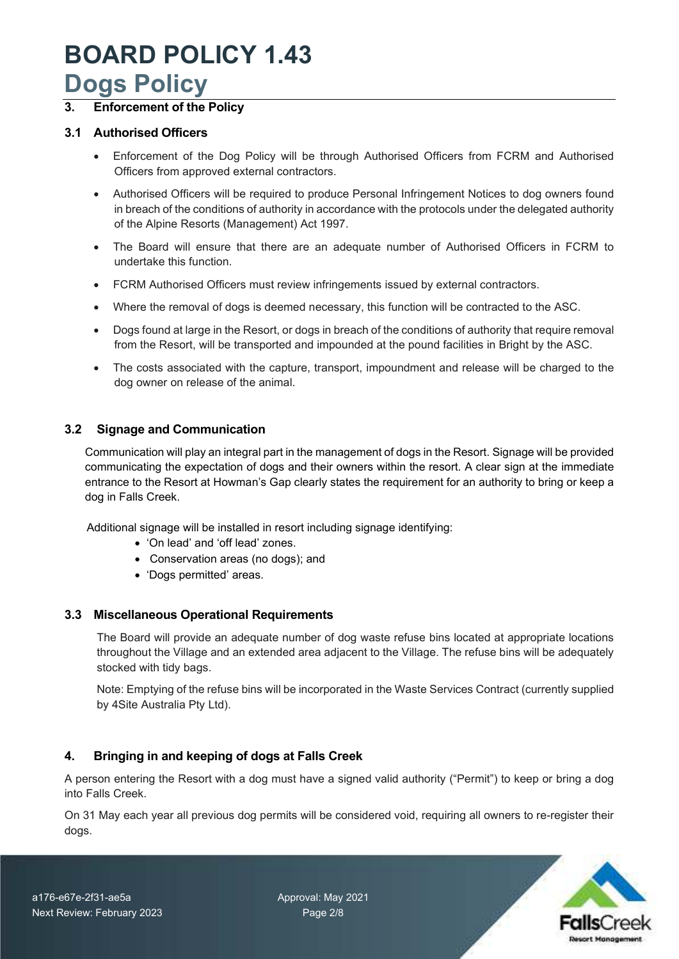### **3. Enforcement of the Policy**

#### **3.1 Authorised Officers**

- Enforcement of the Dog Policy will be through Authorised Officers from FCRM and Authorised Officers from approved external contractors.
- Authorised Officers will be required to produce Personal Infringement Notices to dog owners found in breach of the conditions of authority in accordance with the protocols under the delegated authority of the Alpine Resorts (Management) Act 1997.
- The Board will ensure that there are an adequate number of Authorised Officers in FCRM to undertake this function.
- FCRM Authorised Officers must review infringements issued by external contractors.
- Where the removal of dogs is deemed necessary, this function will be contracted to the ASC.
- Dogs found at large in the Resort, or dogs in breach of the conditions of authority that require removal from the Resort, will be transported and impounded at the pound facilities in Bright by the ASC.
- The costs associated with the capture, transport, impoundment and release will be charged to the dog owner on release of the animal.

#### **3.2 Signage and Communication**

Communication will play an integral part in the management of dogs in the Resort. Signage will be provided communicating the expectation of dogs and their owners within the resort. A clear sign at the immediate entrance to the Resort at Howman's Gap clearly states the requirement for an authority to bring or keep a dog in Falls Creek.

Additional signage will be installed in resort including signage identifying:

- 'On lead' and 'off lead' zones.
- Conservation areas (no dogs); and
- 'Dogs permitted' areas.

#### **3.3 Miscellaneous Operational Requirements**

The Board will provide an adequate number of dog waste refuse bins located at appropriate locations throughout the Village and an extended area adjacent to the Village. The refuse bins will be adequately stocked with tidy bags.

Note: Emptying of the refuse bins will be incorporated in the Waste Services Contract (currently supplied by 4Site Australia Pty Ltd).

### **4. Bringing in and keeping of dogs at Falls Creek**

A person entering the Resort with a dog must have a signed valid authority ("Permit") to keep or bring a dog into Falls Creek.

On 31 May each year all previous dog permits will be considered void, requiring all owners to re-register their dogs.

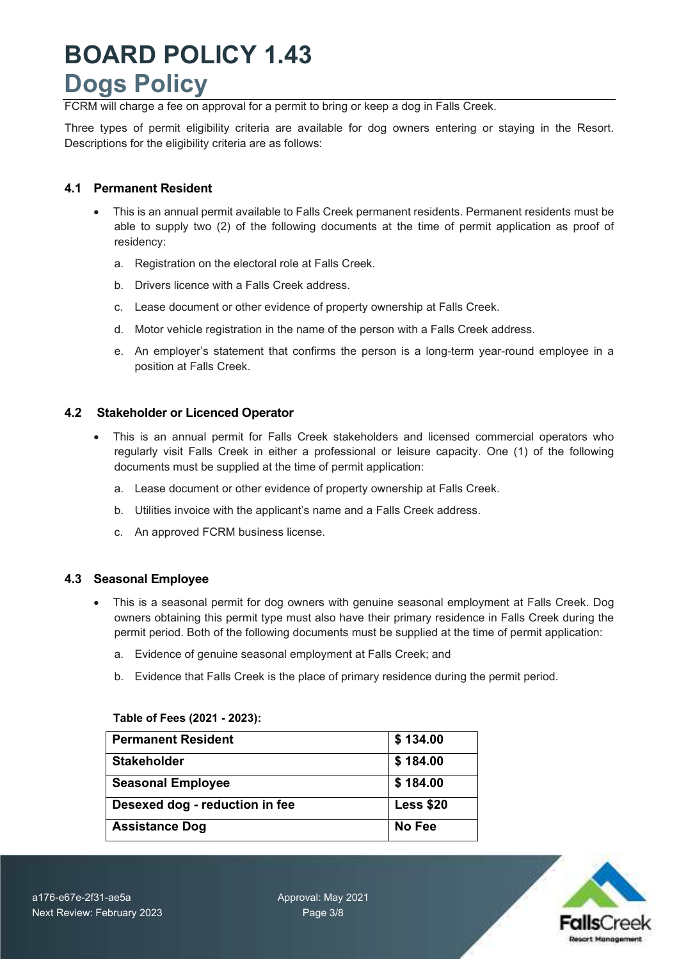FCRM will charge a fee on approval for a permit to bring or keep a dog in Falls Creek.

Three types of permit eligibility criteria are available for dog owners entering or staying in the Resort. Descriptions for the eligibility criteria are as follows:

#### **4.1 Permanent Resident**

- This is an annual permit available to Falls Creek permanent residents. Permanent residents must be able to supply two (2) of the following documents at the time of permit application as proof of residency:
	- a. Registration on the electoral role at Falls Creek.
	- b. Drivers licence with a Falls Creek address.
	- c. Lease document or other evidence of property ownership at Falls Creek.
	- d. Motor vehicle registration in the name of the person with a Falls Creek address.
	- e. An employer's statement that confirms the person is a long-term year-round employee in a position at Falls Creek.

#### **4.2 Stakeholder or Licenced Operator**

- This is an annual permit for Falls Creek stakeholders and licensed commercial operators who regularly visit Falls Creek in either a professional or leisure capacity. One (1) of the following documents must be supplied at the time of permit application:
	- a. Lease document or other evidence of property ownership at Falls Creek.
	- b. Utilities invoice with the applicant's name and a Falls Creek address.
	- c. An approved FCRM business license.

#### **4.3 Seasonal Employee**

- This is a seasonal permit for dog owners with genuine seasonal employment at Falls Creek. Dog owners obtaining this permit type must also have their primary residence in Falls Creek during the permit period. Both of the following documents must be supplied at the time of permit application:
	- a. Evidence of genuine seasonal employment at Falls Creek; and
	- b. Evidence that Falls Creek is the place of primary residence during the permit period.

### **Permanent Resident 134.00 Stakeholder 8184.00** Seasonal Employee **\$184.00 Desexed dog - reduction in fee Less \$20** Assistance Dog No Fee

#### **Table of Fees (2021 - 2023):**

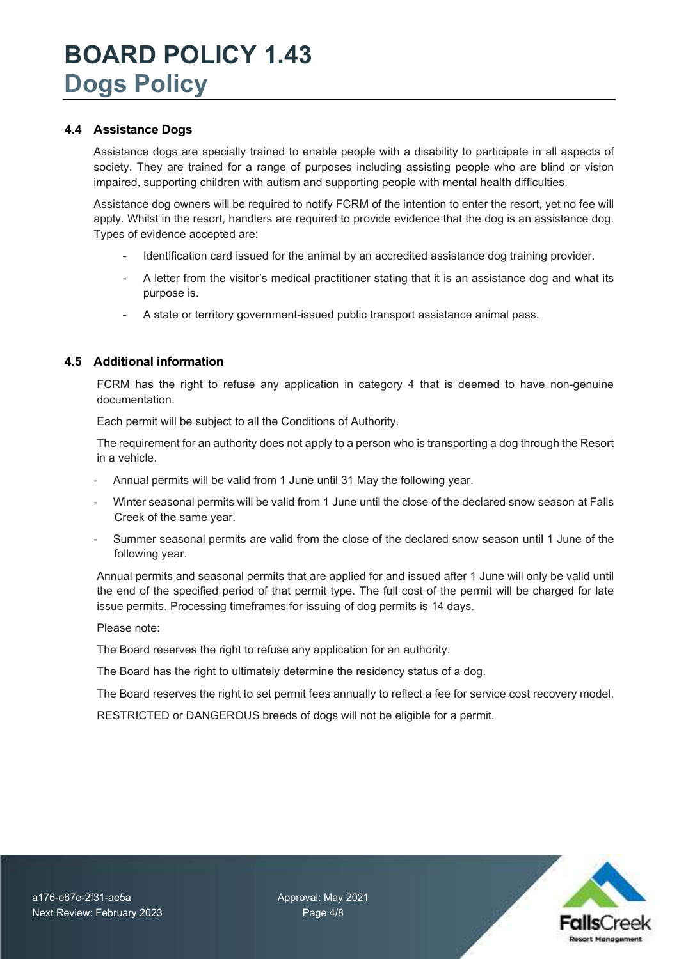#### **4.4 Assistance Dogs**

Assistance dogs are specially trained to enable people with a disability to participate in all aspects of society. They are trained for a range of purposes including assisting people who are blind or vision impaired, supporting children with autism and supporting people with mental health difficulties.

Assistance dog owners will be required to notify FCRM of the intention to enter the resort, yet no fee will apply. Whilst in the resort, handlers are required to provide evidence that the dog is an assistance dog. Types of evidence accepted are:

- Identification card issued for the animal by an accredited assistance dog training provider.
- A letter from the visitor's medical practitioner stating that it is an assistance dog and what its purpose is.
- A state or territory government-issued public transport assistance animal pass.

#### **4.5 Additional information**

FCRM has the right to refuse any application in category 4 that is deemed to have non-genuine documentation.

Each permit will be subject to all the Conditions of Authority.

The requirement for an authority does not apply to a person who is transporting a dog through the Resort in a vehicle.

- Annual permits will be valid from 1 June until 31 May the following year.
- Winter seasonal permits will be valid from 1 June until the close of the declared snow season at Falls Creek of the same year.
- Summer seasonal permits are valid from the close of the declared snow season until 1 June of the following year.

Annual permits and seasonal permits that are applied for and issued after 1 June will only be valid until the end of the specified period of that permit type. The full cost of the permit will be charged for late issue permits. Processing timeframes for issuing of dog permits is 14 days.

Please note:

The Board reserves the right to refuse any application for an authority.

The Board has the right to ultimately determine the residency status of a dog.

The Board reserves the right to set permit fees annually to reflect a fee for service cost recovery model.

RESTRICTED or DANGEROUS breeds of dogs will not be eligible for a permit.

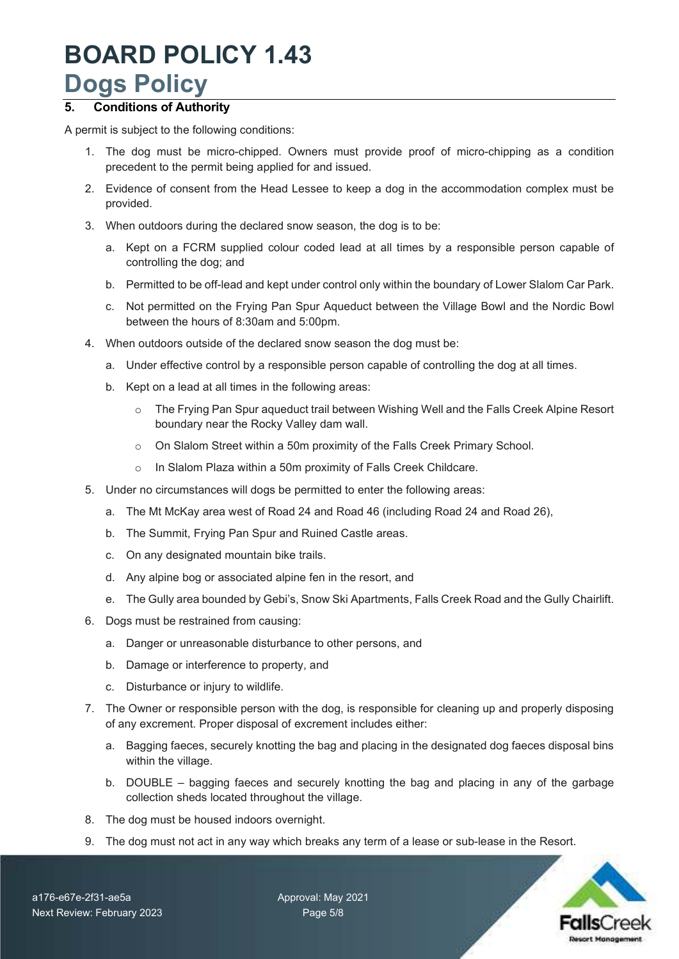### **5. Conditions of Authority**

A permit is subject to the following conditions:

- 1. The dog must be micro-chipped. Owners must provide proof of micro-chipping as a condition precedent to the permit being applied for and issued.
- 2. Evidence of consent from the Head Lessee to keep a dog in the accommodation complex must be provided.
- 3. When outdoors during the declared snow season, the dog is to be:
	- a. Kept on a FCRM supplied colour coded lead at all times by a responsible person capable of controlling the dog; and
	- b. Permitted to be off-lead and kept under control only within the boundary of Lower Slalom Car Park.
	- c. Not permitted on the Frying Pan Spur Aqueduct between the Village Bowl and the Nordic Bowl between the hours of 8:30am and 5:00pm.
- 4. When outdoors outside of the declared snow season the dog must be:
	- a. Under effective control by a responsible person capable of controlling the dog at all times.
	- b. Kept on a lead at all times in the following areas:
		- o The Frying Pan Spur aqueduct trail between Wishing Well and the Falls Creek Alpine Resort boundary near the Rocky Valley dam wall.
		- o On Slalom Street within a 50m proximity of the Falls Creek Primary School.
		- o In Slalom Plaza within a 50m proximity of Falls Creek Childcare.
- 5. Under no circumstances will dogs be permitted to enter the following areas:
	- a. The Mt McKay area west of Road 24 and Road 46 (including Road 24 and Road 26),
	- b. The Summit, Frying Pan Spur and Ruined Castle areas.
	- c. On any designated mountain bike trails.
	- d. Any alpine bog or associated alpine fen in the resort, and
	- e. The Gully area bounded by Gebi's, Snow Ski Apartments, Falls Creek Road and the Gully Chairlift.
- 6. Dogs must be restrained from causing:
	- a. Danger or unreasonable disturbance to other persons, and
	- b. Damage or interference to property, and
	- c. Disturbance or injury to wildlife.
- 7. The Owner or responsible person with the dog, is responsible for cleaning up and properly disposing of any excrement. Proper disposal of excrement includes either:
	- a. Bagging faeces, securely knotting the bag and placing in the designated dog faeces disposal bins within the village.
	- b. DOUBLE bagging faeces and securely knotting the bag and placing in any of the garbage collection sheds located throughout the village.
- 8. The dog must be housed indoors overnight.
- 9. The dog must not act in any way which breaks any term of a lease or sub-lease in the Resort.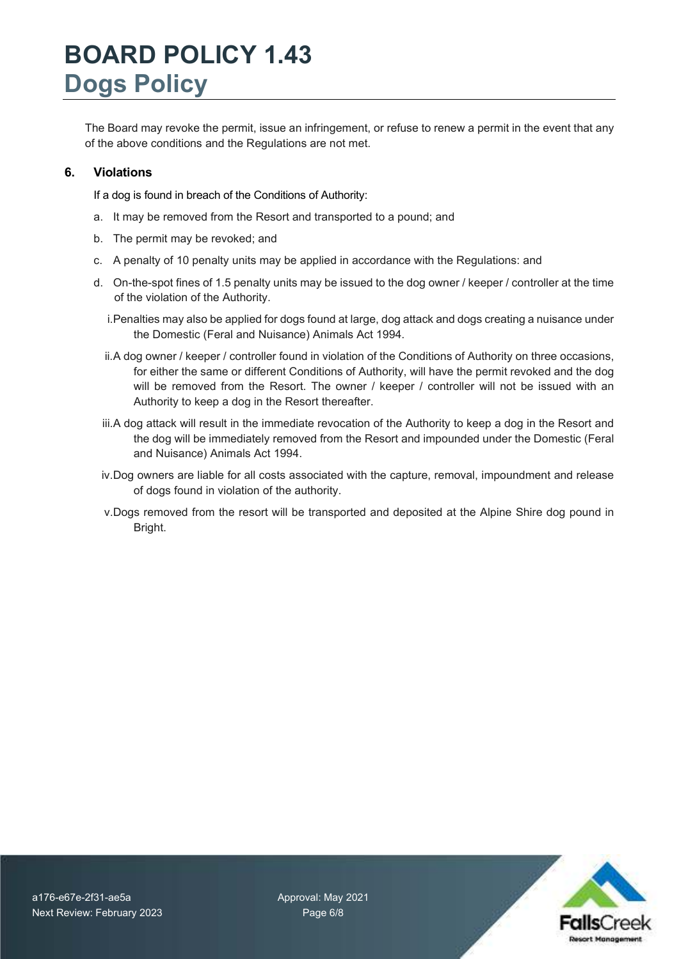The Board may revoke the permit, issue an infringement, or refuse to renew a permit in the event that any of the above conditions and the Regulations are not met.

#### **6. Violations**

If a dog is found in breach of the Conditions of Authority:

- a. It may be removed from the Resort and transported to a pound; and
- b. The permit may be revoked; and
- c. A penalty of 10 penalty units may be applied in accordance with the Regulations: and
- d. On-the-spot fines of 1.5 penalty units may be issued to the dog owner / keeper / controller at the time of the violation of the Authority.
	- i.Penalties may also be applied for dogs found at large, dog attack and dogs creating a nuisance under the Domestic (Feral and Nuisance) Animals Act 1994.
	- ii. A dog owner / keeper / controller found in violation of the Conditions of Authority on three occasions, for either the same or different Conditions of Authority, will have the permit revoked and the dog will be removed from the Resort. The owner / keeper / controller will not be issued with an Authority to keep a dog in the Resort thereafter.
	- iii.A dog attack will result in the immediate revocation of the Authority to keep a dog in the Resort and the dog will be immediately removed from the Resort and impounded under the Domestic (Feral and Nuisance) Animals Act 1994.
	- iv. Dog owners are liable for all costs associated with the capture, removal, impoundment and release of dogs found in violation of the authority.
	- v.Dogs removed from the resort will be transported and deposited at the Alpine Shire dog pound in Bright.

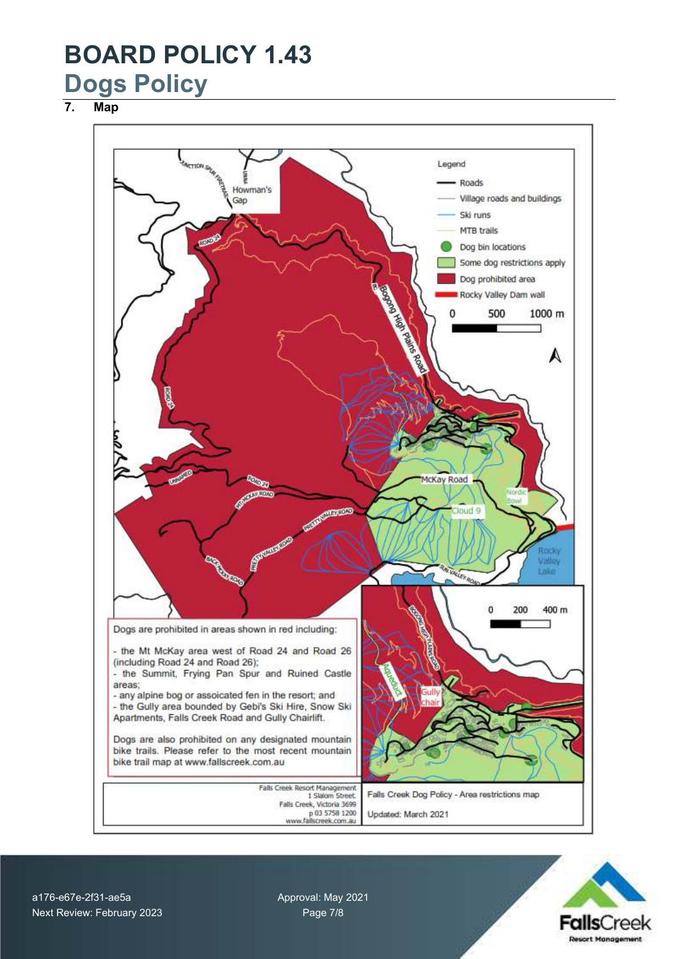**7. Map**